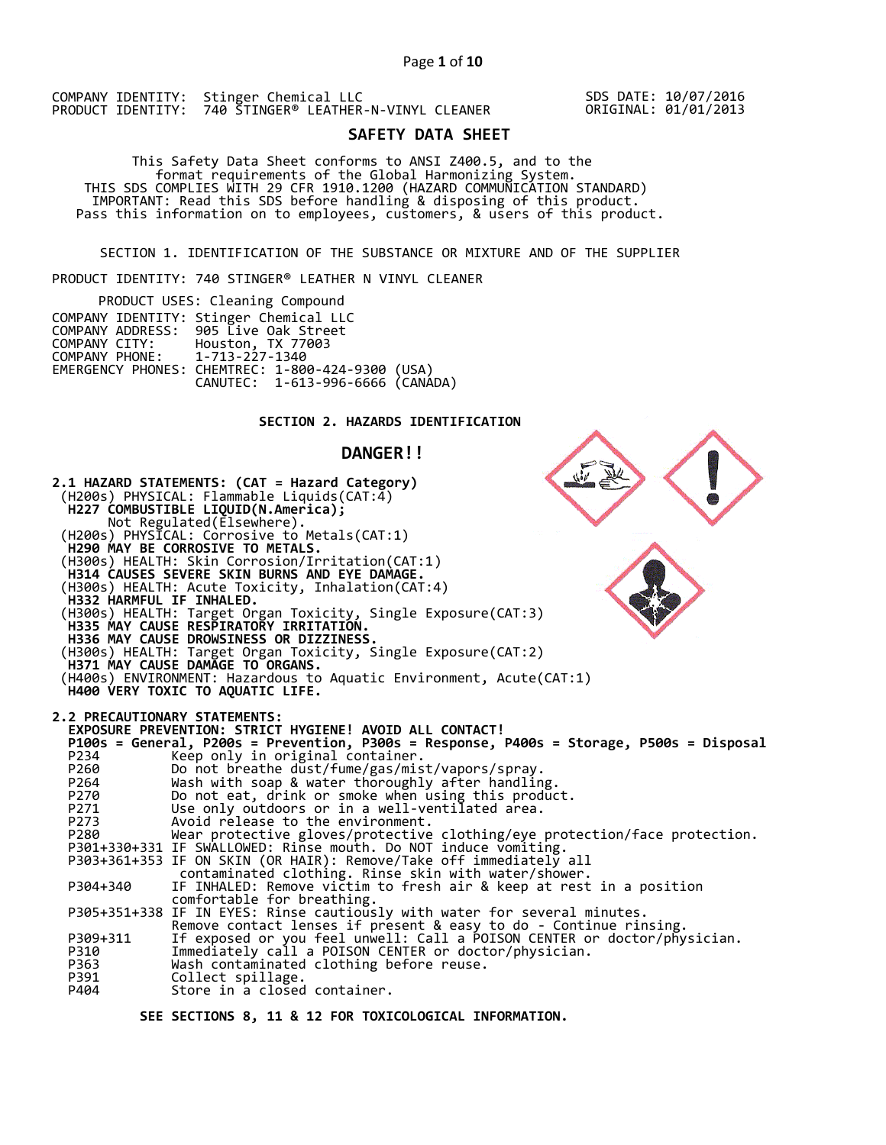SDS DATE: 10/07/2016 ORIGINAL: 01/01/2013

# **SAFETY DATA SHEET**

 This Safety Data Sheet conforms to ANSI Z400.5, and to the format requirements of the Global Harmonizing System. THIS SDS COMPLIES WITH 29 CFR 1910.1200 (HAZARD COMMUNICATION STANDARD) IMPORTANT: Read this SDS before handling & disposing of this product. Pass this information on to employees, customers, & users of this product.

SECTION 1. IDENTIFICATION OF THE SUBSTANCE OR MIXTURE AND OF THE SUPPLIER

PRODUCT IDENTITY: 740 STINGER® LEATHER N VINYL CLEANER

| PRODUCT USES: Cleaning Compound |                                                  |  |  |  |
|---------------------------------|--------------------------------------------------|--|--|--|
|                                 | COMPANY IDENTITY: Stinger Chemical LLC           |  |  |  |
|                                 | COMPANY ADDRESS: 905 Live Oak Street             |  |  |  |
| COMPANY CITY: Houston, TX 77003 |                                                  |  |  |  |
| COMPANY PHONE: 1-713-227-1340   |                                                  |  |  |  |
|                                 | EMERGENCY PHONES: CHEMTREC: 1-800-424-9300 (USA) |  |  |  |
|                                 | CANUTEC: 1-613-996-6666 (CANÁDA)                 |  |  |  |

## **SECTION 2. HAZARDS IDENTIFICATION**

### **DANGER!!**

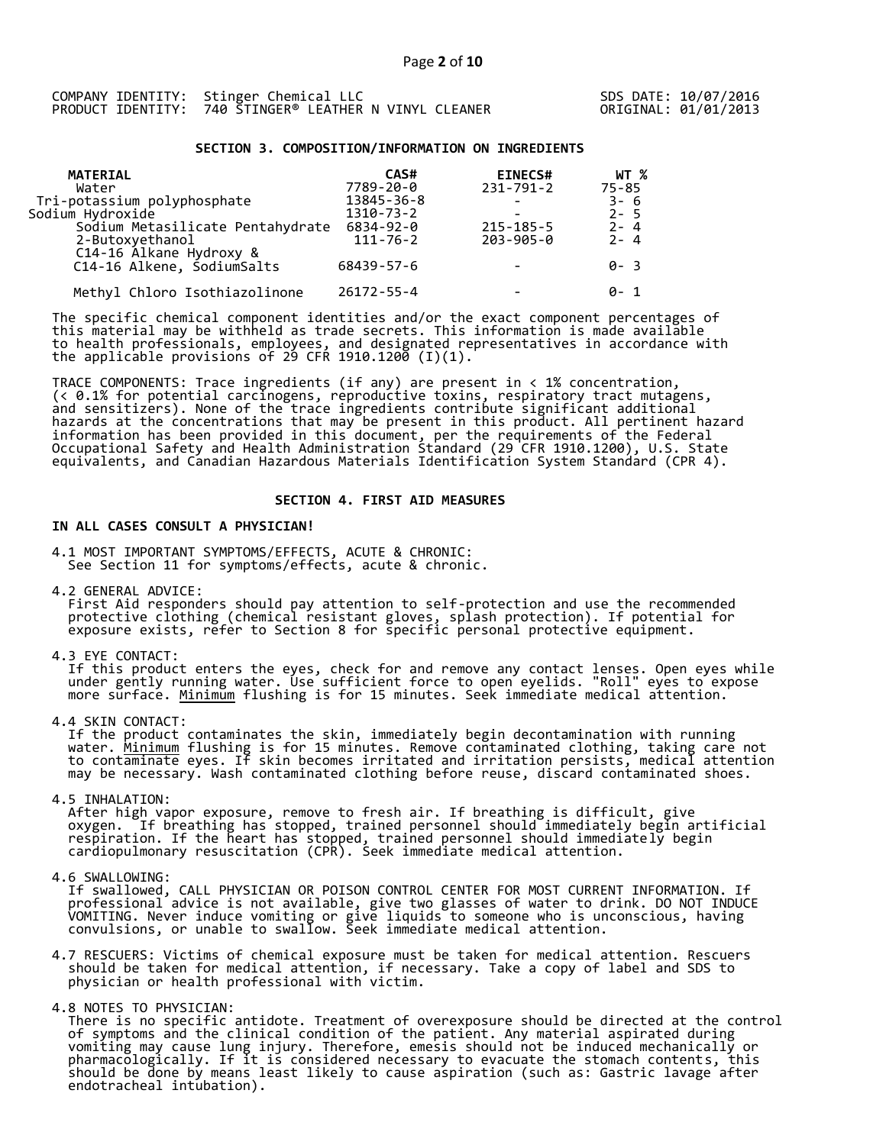## **SECTION 3. COMPOSITION/INFORMATION ON INGREDIENTS**

| WT %      |
|-----------|
| $75 - 85$ |
| 3-6       |
| $2 - 5$   |
| $2 - 4$   |
| $2 - 4$   |
|           |
| 0-3       |
|           |
| ค- 1      |
|           |

The specific chemical component identities and/or the exact component percentages of this material may be withheld as trade secrets. This information is made available to health professionals, employees, and designated representatives in accordance with the applicable provisions of 29 CFR 1910.1200̄ (I)(1). $\overline{\phantom{a}}$ 

TRACE COMPONENTS: Trace ingredients (if any) are present in < 1% concentration, (< 0.1% for potential carcinogens, reproductive toxins, respiratory tract mutagens, and sensitizers). None of the trace ingredients contribute significant additional hazards at the concentrations that may be present in this product. All pertinent hazard information has been provided in this document, per the requirements of the Federal Occupational Safety and Health Administration Standard (29 CFR 1910.1200), U.S. State equivalents, and Canadian Hazardous Materials Identification System Standard (CPR 4).

### **SECTION 4. FIRST AID MEASURES**

## **IN ALL CASES CONSULT A PHYSICIAN!**

4.1 MOST IMPORTANT SYMPTOMS/EFFECTS, ACUTE & CHRONIC: See Section 11 for symptoms/effects, acute & chronic.

4.2 GENERAL ADVICE:

 First Aid responders should pay attention to self-protection and use the recommended protective clothing (chemical resistant gloves, splash protection). If potential for exposure exists, refer to Section 8 for specific personal protective equipment.

4.3 EYE CONTACT:

 If this product enters the eyes, check for and remove any contact lenses. Open eyes while under gently running water. Use sufficient force to open eyelids. "Roll" eyes to expose more surface. <u>Minimum</u> flushing is for 15 minutes. Seek immediate medical attention.

4.4 SKIN CONTACT:

 If the product contaminates the skin, immediately begin decontamination with running water. <u>Minimum</u> flushing is for 15 minutes. Remove contaminated clothing, taking care not to contaminate eyes. If skin becomes irritated and irritation persists, medical attention may be necessary. Wash contaminated clothing before reuse, discard contaminated shoes.

4.5 INHALATION:

 After high vapor exposure, remove to fresh air. If breathing is difficult, give oxygen. If breathing has stopped, trained personnel should immediately begin artificial respiration. If the heart has stopped, trained personnel should immediately begin cardiopulmonary resuscitation (CPR). Seek immediate medical attention.

4.6 SWALLOWING:

 If swallowed, CALL PHYSICIAN OR POISON CONTROL CENTER FOR MOST CURRENT INFORMATION. If professional advice is not available, give two glasses of water to drink. DO NOT INDUCE VOMITING. Never induce vomiting or give liquids to someone who is unconscious, having convulsions, or unable to swallow. Seek immediate medical attention.

4.7 RESCUERS: Victims of chemical exposure must be taken for medical attention. Rescuers should be taken for medical attention, if necessary. Take a copy of label and SDS to physician or health professional with victim.

4.8 NOTES TO PHYSICIAN:

 There is no specific antidote. Treatment of overexposure should be directed at the control of symptoms and the clinical condition of the patient. Any material aspirated during vomiting may cause lung injury. Therefore, emesis should not be induced mechanically or pharmacologically. If it is considered necessary to evacuate the stomach contents, this should be done by means least likely to cause aspiration (such as: Gastric lavage after endotracheal intubation).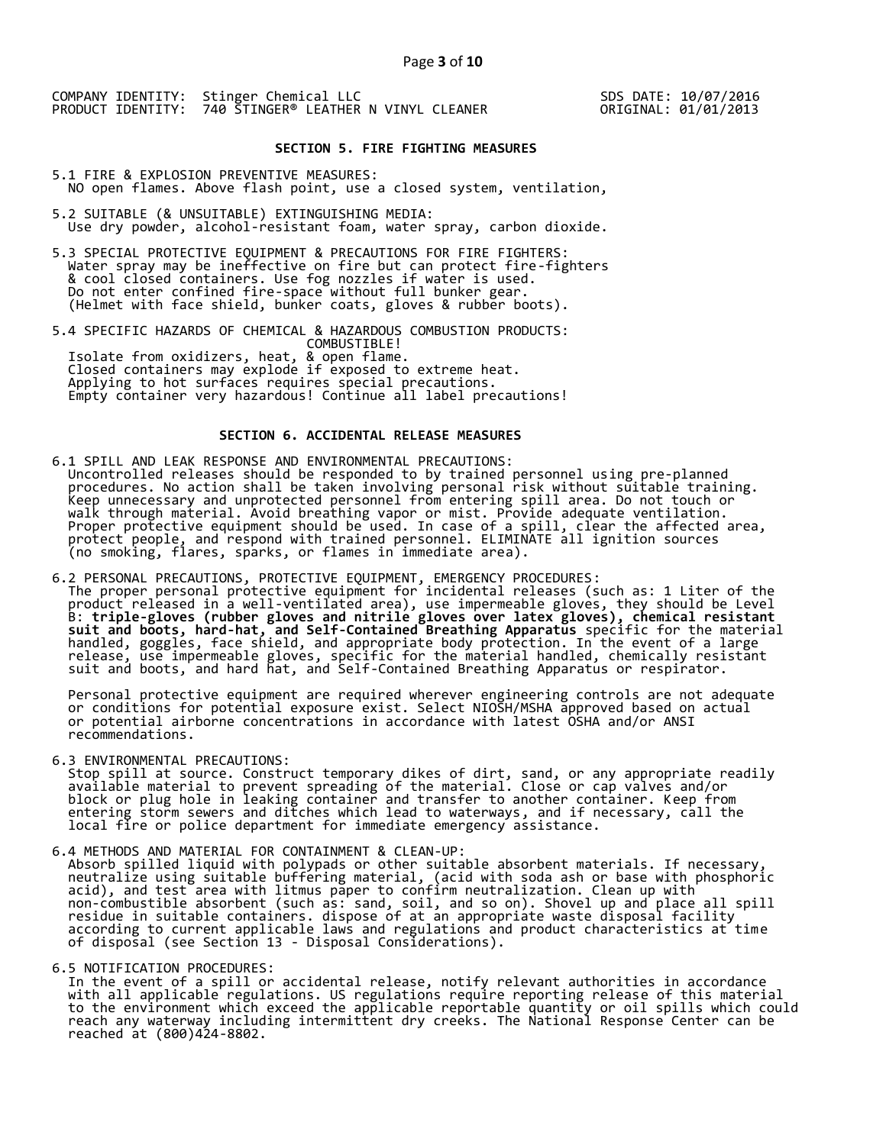SDS DATE: 10/07/2016 ORIGINAL: 01/01/2013

#### **SECTION 5. FIRE FIGHTING MEASURES**

5.1 FIRE & EXPLOSION PREVENTIVE MEASURES: NO open flames. Above flash point, use a closed system, ventilation,

- 5.2 SUITABLE (& UNSUITABLE) EXTINGUISHING MEDIA: Use dry powder, alcohol-resistant foam, water spray, carbon dioxide.
- 5.3 SPECIAL PROTECTIVE EQUIPMENT & PRECAUTIONS FOR FIRE FIGHTERS: Water spray may be ineffective on fire but can protect fire-fighters & cool closed containers. Use fog nozzles if water is used. Do not enter confined fire-space without full bunker gear. (Helmet with face shield, bunker coats, gloves & rubber boots).

5.4 SPECIFIC HAZARDS OF CHEMICAL & HAZARDOUS COMBUSTION PRODUCTS: COMBUSTIBLE! Isolate from oxidizers, heat, & open flame. Closed containers may explode if exposed to extreme heat. Applying to hot surfaces requires special precautions. Empty container very hazardous! Continue all label precautions!

### **SECTION 6. ACCIDENTAL RELEASE MEASURES**

- 6.1 SPILL AND LEAK RESPONSE AND ENVIRONMENTAL PRECAUTIONS: Uncontrolled releases should be responded to by trained personnel using pre-planned procedures. No action shall be taken involving personal risk without suitable training. Keep unnecessary and unprotected personnel from entering spill area. Do not touch or walk through material. Avoid breathing vapor or mist. Provide adequate ventilation. Proper protective equipment should be used. In case of a spill, clear the affected area, protect people, and respond with trained personnel. ELIMINATE all ignition sources (no smoking, flares, sparks, or flames in immediate area).
- 6.2 PERSONAL PRECAUTIONS, PROTECTIVE EQUIPMENT, EMERGENCY PROCEDURES: The proper personal protective equipment for incidental releases (such as: 1 Liter of the product released in a well-ventilated area), use impermeable gloves, they should be Level B: **triple-gloves (rubber gloves and nitrile gloves over latex gloves), chemical resistant suit and boots, hard-hat, and Self-Contained Breathing Apparatus** specific for the material handled, goggles, face shield, and appropriate body protection. In the event of a large release, use impermeable gloves, specific for the material handled, chemically resistant suit and boots, and hard hat, and Self-Contained Breathing Apparatus or respirator.

 Personal protective equipment are required wherever engineering controls are not adequate or conditions for potential exposure exist. Select NIOSH/MSHA approved based on actual or potential airborne concentrations in accordance with latest OSHA and/or ANSI recommendations.

6.3 ENVIRONMENTAL PRECAUTIONS:

 Stop spill at source. Construct temporary dikes of dirt, sand, or any appropriate readily available material to prevent spreading of the material. Close or cap valves and/or block or plug hole in leaking container and transfer to another container. Keep from entering storm sewers and ditches which lead to waterways, and if necessary, call the local fire or police department for immediate emergency assistance.

- 6.4 METHODS AND MATERIAL FOR CONTAINMENT & CLEAN-UP:
- Absorb spilled liquid with polypads or other suitable absorbent materials. If necessary, neutralize using suitable buffering material, (acid with soda ash or base with phosphoric acid), and test area with litmus paper to confirm neutralization. Clean up with non-combustible absorbent (such as: sand, soil, and so on). Shovel up and place all spill residue in suitable containers. dispose of at an appropriate waste disposal facility according to current applicable laws and regulations and product characteristics at time of disposal (see Section 13 - Disposal Considerations).

#### 6.5 NOTIFICATION PROCEDURES:

 In the event of a spill or accidental release, notify relevant authorities in accordance with all applicable regulations. US regulations require reporting release of this material to the environment which exceed the applicable reportable quantity or oil spills which could reach any waterway including intermittent dry creeks. The National Response Center can be reached at (800)424-8802.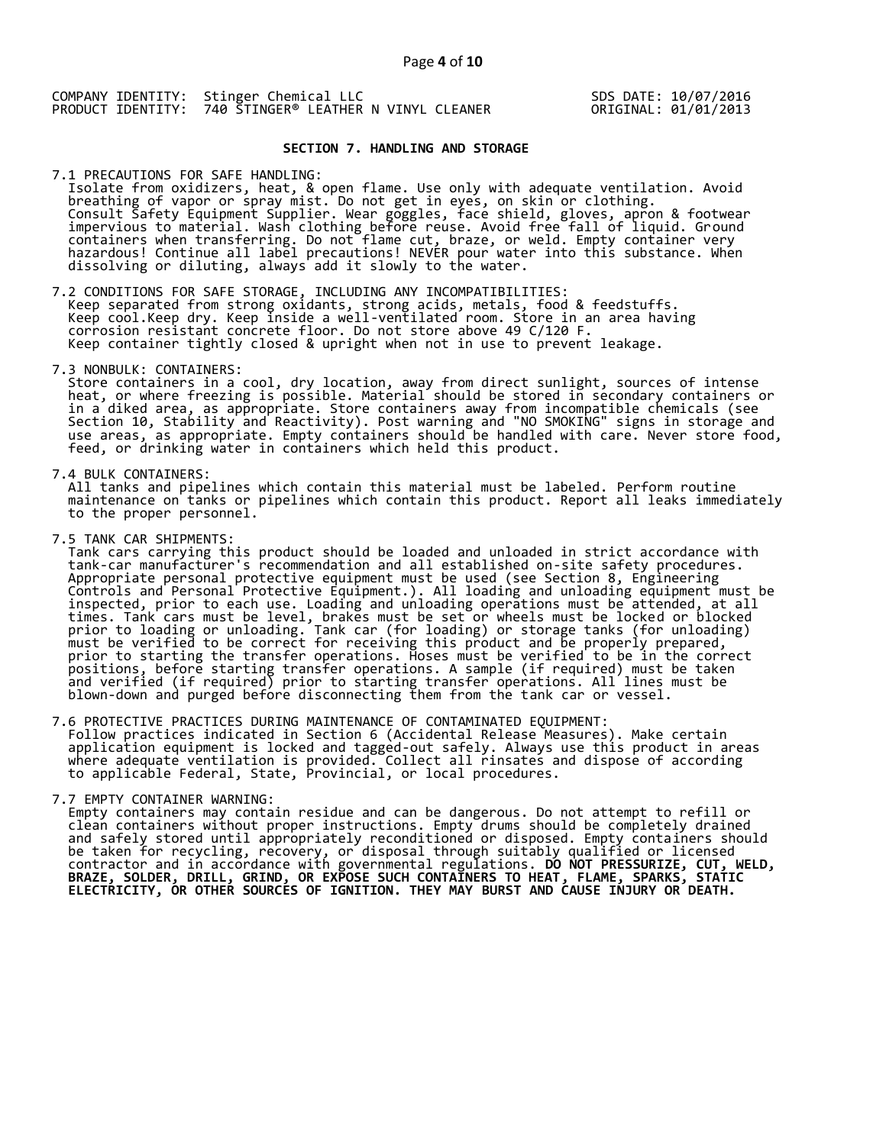SDS DATE: 10/07/2016 ORIGINAL: 01/01/2013

### **SECTION 7. HANDLING AND STORAGE**

7.1 PRECAUTIONS FOR SAFE HANDLING:

 Isolate from oxidizers, heat, & open flame. Use only with adequate ventilation. Avoid breathing of vapor or spray mist. Do not get in eyes, on skin or clothing. Consult Safety Equipment Supplier. Wear goggles, face shield, gloves, apron & footwear impervious to material. Wash clothing before reuse. Avoid free fall of liquid. Ground containers when transferring. Do not flame cut, braze, or weld. Empty container very hazardous! Continue all label precautions! NEVER pour water into this substance. When dissolving or diluting, always add it slowly to the water.

7.2 CONDITIONS FOR SAFE STORAGE, INCLUDING ANY INCOMPATIBILITIES:

 Keep separated from strong oxidants, strong acids, metals, food & feedstuffs. Keep cool.Keep dry. Keep inside a well-ventilated room. Store in an area having corrosion resistant concrete floor. Do not store above 49 C/120 F. Keep container tightly closed & upright when not in use to prevent leakage.

7.3 NONBULK: CONTAINERS:

 Store containers in a cool, dry location, away from direct sunlight, sources of intense heat, or where freezing is possible. Material should be stored in secondary containers or in a diked area, as appropriate. Store containers away from incompatible chemicals (see Section 10, Stability and Reactivity). Post warning and "NO SMOKING" signs in storage and use areas, as appropriate. Empty containers should be handled with care. Never store food, feed, or drinking water in containers which held this product.

7.4 BULK CONTAINERS:

 All tanks and pipelines which contain this material must be labeled. Perform routine maintenance on tanks or pipelines which contain this product. Report all leaks immediately to the proper personnel.

7.5 TANK CAR SHIPMENTS:

 Tank cars carrying this product should be loaded and unloaded in strict accordance with tank-car manufacturer's recommendation and all established on-site safety procedures. Appropriate personal protective equipment must be used (see Section 8, Engineering Controls and Personal Protective Equipment.). All loading and unloading equipment must be inspected, prior to each use. Loading and unloading operations must be attended, at all times. Tank cars must be level, brakes must be set or wheels must be locked or blocked prior to loading or unloading. Tank car (for loading) or storage tanks (for unloading) must be verified to be correct for receiving this product and be properly prepared, prior to starting the transfer operations. Hoses must be verified to be in the correct positions, before starting transfer operations. A sample (if required) must be taken and verified (if required) prior to starting transfer operations. All lines must be blown-down and purged before disconnecting them from the tank car or vessel.

7.6 PROTECTIVE PRACTICES DURING MAINTENANCE OF CONTAMINATED EQUIPMENT: Follow practices indicated in Section 6 (Accidental Release Measures). Make certain application equipment is locked and tagged-out safely. Always use this product in areas where adequate ventilation is provided. Collect all rinsates and dispose of according to applicable Federal, State, Provincial, or local procedures.

7.7 EMPTY CONTAINER WARNING:

 Empty containers may contain residue and can be dangerous. Do not attempt to refill or clean containers without proper instructions. Empty drums should be completely drained and safely stored until appropriately reconditioned or disposed. Empty containers should be taken for recycling, recovery, or disposal through suitably qualified or licensed contractor and in accordance with governmental regulations. **DO NOT PRESSURIZE, CUT, WELD, BRAZE, SOLDER, DRILL, GRIND, OR EXPOSE SUCH CONTAINERS TO HEAT, FLAME, SPARKS, STATIC ELECTRICITY, OR OTHER SOURCES OF IGNITION. THEY MAY BURST AND CAUSE INJURY OR DEATH.**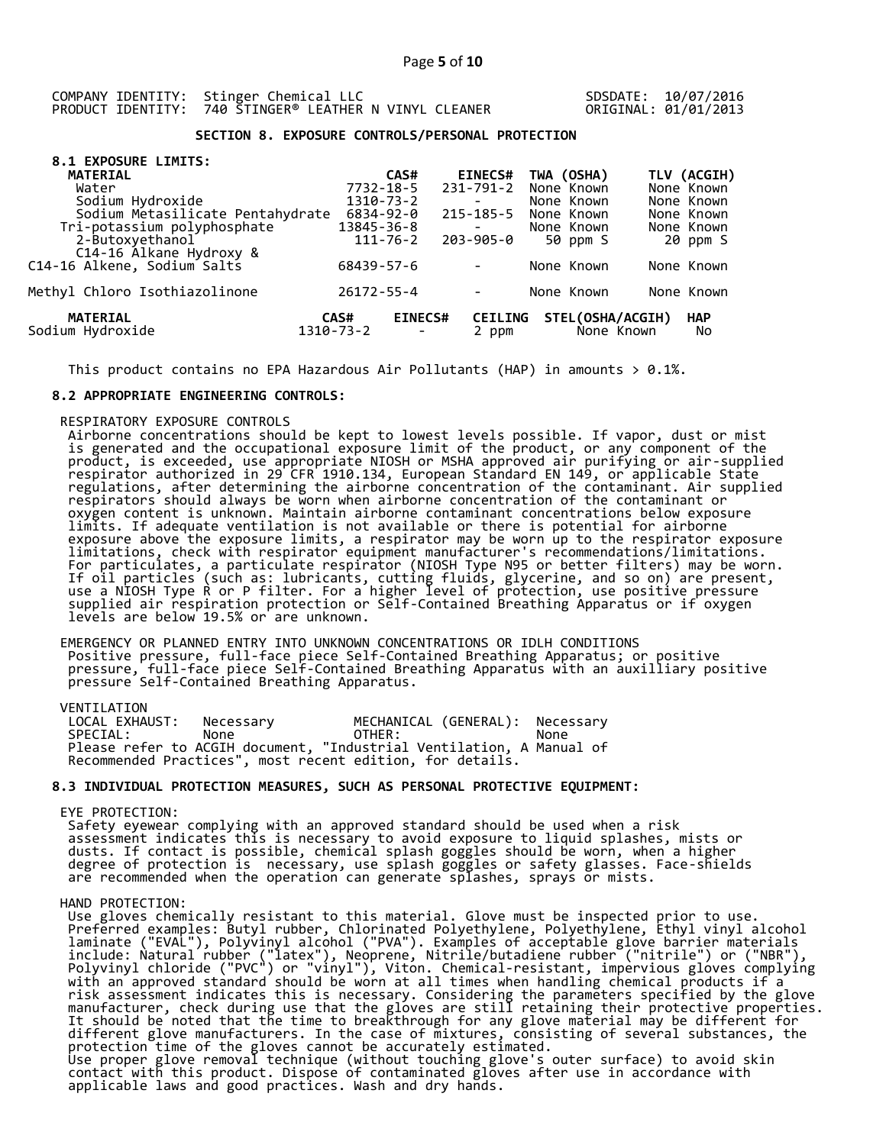SDSDATE: 10/07/2016 ORIGINAL: 01/01/2013

## **SECTION 8. EXPOSURE CONTROLS/PERSONAL PROTECTION**

| 8.1 EXPOSURE LIMITS:                       |                   |                |                          |                                |                  |
|--------------------------------------------|-------------------|----------------|--------------------------|--------------------------------|------------------|
| <b>MATERIAL</b>                            |                   | CAS#           | <b>EINECS#</b>           | TWA (OSHA)                     | TLV (ACGIH)      |
| Water                                      | 7732-18-5         |                | 231-791-2                | None Known                     | None Known       |
| Sodium Hydroxide                           | 1310-73-2         |                | $\overline{\phantom{a}}$ | None Known                     | None Known       |
| Sodium Metasilicate Pentahydrate           | 6834-92-0         |                | 215-185-5                | None Known                     | None Known       |
| Tri-potassium polyphosphate                | 13845-36-8        |                | $\overline{\phantom{a}}$ | None Known                     | None Known       |
| 2-Butoxyethanol<br>C14-16 Alkane Hydroxy & |                   | $111 - 76 - 2$ | 203-905-0                | 50 ppm S                       | 20 ppm S         |
| C14-16 Alkene, Sodium Salts                | 68439-57-6        |                | $\overline{\phantom{a}}$ | None Known                     | None Known       |
| Methyl Chloro Isothiazolinone              | 26172-55-4        |                | $\overline{\phantom{a}}$ | None Known                     | None Known       |
| <b>MATERIAL</b><br>Sodium Hydroxide        | CAS#<br>1310-73-2 | <b>EINECS#</b> | <b>CEILING</b><br>2 ppm  | STEL(OSHA/ACGIH)<br>None Known | <b>HAP</b><br>No |

This product contains no EPA Hazardous Air Pollutants (HAP) in amounts  $> 0.1\%$ .

#### **8.2 APPROPRIATE ENGINEERING CONTROLS:**

#### RESPIRATORY EXPOSURE CONTROLS

 Airborne concentrations should be kept to lowest levels possible. If vapor, dust or mist is generated and the occupational exposure limit of the product, or any component of the product, is exceeded, use appropriate NIOSH or MSHA approved air purifying or air-supplied respirator authorized in 29 CFR 1910.134, European Standard EN 149, or applicable State regulations, after determining the airborne concentration of the contaminant. Air supplied respirators should always be worn when airborne concentration of the contaminant or oxygen content is unknown. Maintain airborne contaminant concentrations below exposure limits. If adequate ventilation is not available or there is potential for airborne exposure above the exposure limits, a respirator may be worn up to the respirator exposure limitations, check with respirator equipment manufacturer's recommendations/limitations. For particulates, a particulate respirator (NIOSH Type N95 or better filters) may be worn. If oil particles (such as: lubricants, cutting fluids, glycerine, and so on) are present, use a NIOSH Type R or P filter. For a higher level of protection, use positive pressure supplied air respiration protection or Self-Contained Breathing Apparatus or if oxygen levels are below 19.5% or are unknown.

 EMERGENCY OR PLANNED ENTRY INTO UNKNOWN CONCENTRATIONS OR IDLH CONDITIONS Positive pressure, full-face piece Self-Contained Breathing Apparatus; or positive pressure, full-face piece Self-Contained Breathing Apparatus with an auxilliary positive pressure Self-Contained Breathing Apparatus.

VENTILATION<br>LOCAL EXHAUST: Necessary MECHANICAL (GENERAL): Necessary SPECIAL: None OTHER: None Please refer to ACGIH document, "Industrial Ventilation, A Manual of Recommended Practices", most recent edition, for details.

## **8.3 INDIVIDUAL PROTECTION MEASURES, SUCH AS PERSONAL PROTECTIVE EQUIPMENT:**

#### EYE PROTECTION:

 Safety eyewear complying with an approved standard should be used when a risk assessment indicates this is necessary to avoid exposure to liquid splashes, mists or dusts. If contact is possible, chemical splash goggles should be worn, when a higher degree of protection is necessary, use splash goggles or safety glasses. Face-shields are recommended when the operation can generate splashes, sprays or mists.

#### HAND PROTECTION:

 Use gloves chemically resistant to this material. Glove must be inspected prior to use. Preferred examples: Butyl rubber, Chlorinated Polyethylene, Polyethylene, Ethyl vinyl alcohol laminate ("EVAL"), Polyvinyl alcohol ("PVA"). Examples of acceptable glove barrier materials include: Natural rubber ("latex"), Neoprene, Nitrile/butadiene rubber ("nitrile") or ("NBR"), Polyvinyl chloride ("PVC") or "vinyl"), Viton. Chemical-resistant, impervious gloves complying with an approved standard should be worn at all times when handling chemical products if a risk assessment indicates this is necessary. Considering the parameters specified by the glove manufacturer, check during use that the gloves are still retaining their protective properties. It should be noted that the time to breakthrough for any glove material may be different for different glove manufacturers. In the case of mixtures, consisting of several substances, the protection time of the gloves cannot be accurately estimated. Use proper glove removal technique (without touching glove's outer surface) to avoid skin contact with this product. Dispose of contaminated gloves after use in accordance with applicable laws and good practices. Wash and dry hands.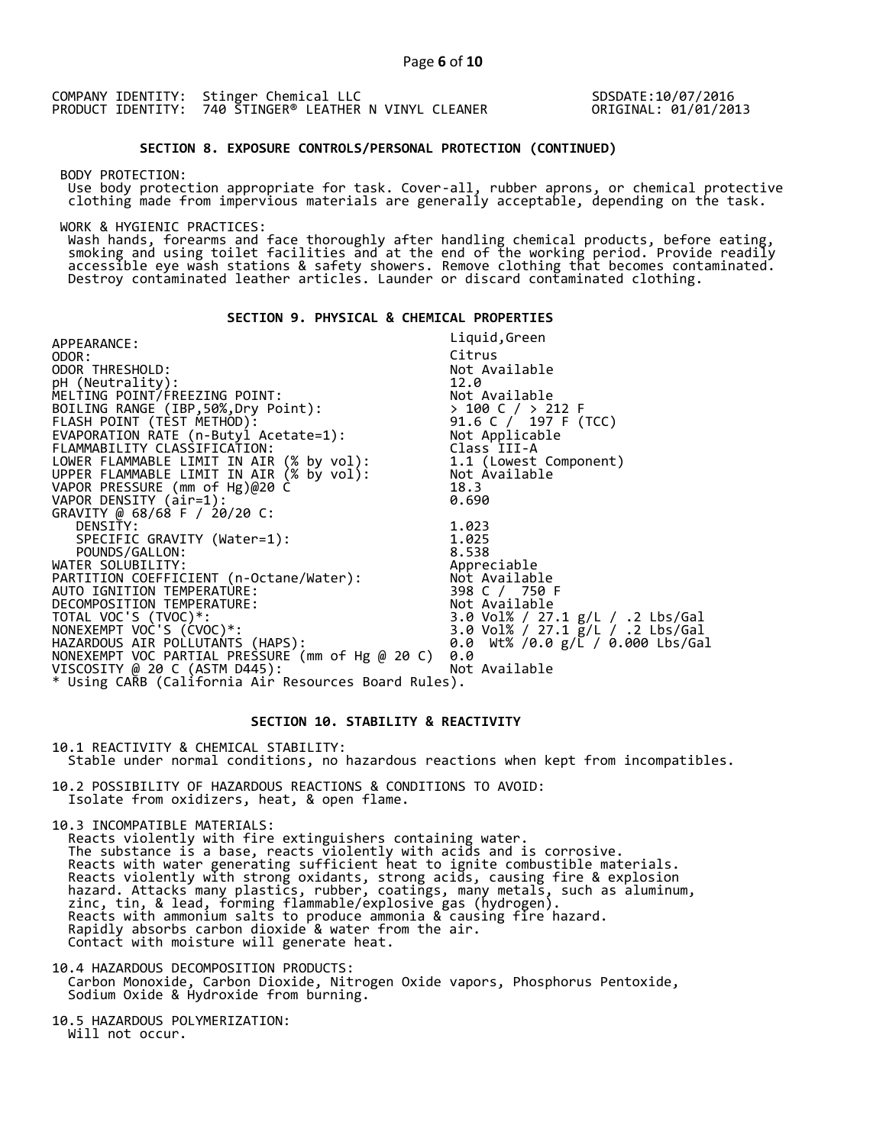SDSDATE:10/07/2016 ORIGINAL: 01/01/2013

#### **SECTION 8. EXPOSURE CONTROLS/PERSONAL PROTECTION (CONTINUED)**

BODY PROTECTION:

 Use body protection appropriate for task. Cover-all, rubber aprons, or chemical protective clothing made from impervious materials are generally acceptable, depending on the task.

WORK & HYGIENIC PRACTICES:

 Wash hands, forearms and face thoroughly after handling chemical products, before eating, smoking and using toilet facilities and at the end of the working period. Provide readily accessible eye wash stations & safety showers. Remove clothing that becomes contaminated. Destroy contaminated leather articles. Launder or discard contaminated clothing.

## **SECTION 9. PHYSICAL & CHEMICAL PROPERTIES**

| APPEARANCE:                                           | Liquid, Green                    |
|-------------------------------------------------------|----------------------------------|
| ODOR:                                                 | Citrus                           |
| ODOR THRESHOLD:                                       | Not Available                    |
| pH (Neutrality):                                      |                                  |
|                                                       |                                  |
|                                                       |                                  |
|                                                       |                                  |
|                                                       |                                  |
| FLAMMABILITY CLASSIFICATION:                          | Class III-A                      |
|                                                       |                                  |
|                                                       |                                  |
| VAPOR PRESSURE (mm of Hg)@20 C̀                       | 18.3                             |
| VAPOR DENSITY (air=1):                                | 0.690                            |
| GRAVITY @ 68/68 F / 20/20 C:                          |                                  |
| DENSITY:                                              | 1.023                            |
| SPECIFIC GRAVITY (Water=1):                           | 1.025                            |
| POUNDS/GALLON:                                        | 8.538                            |
| WATER SOLUBILITY:                                     | Appreciable                      |
| PARTITION COEFFICIENT (n-Octane/Water): Not Available |                                  |
| AUTO IGNITION TEMPERATURE:                            | 398 C / 750 F                    |
| DECOMPOSITION TEMPERATURE:                            | Not Available                    |
| TOTAL VOC'S (TVOC)*:                                  | 3.0 Vol% / 27.1 g/L / .2 Lbs/Gal |
| NONEXEMPT VOC'S (CVOC)*:                              | 3.0 Vol% / 27.1 g/L / .2 Lbs/Gal |
| HAZARDOUS AIR POLLUTAŃTS (HAPS):                      | 0.0 Wt% /0.0 g/L / 0.000 Lbs/Gal |
| NONEXEMPT VOC PARTIAL PRESSURE (mm of Hg @ 20 C)      | 0.0                              |
| VISCOSITY @ 20 C (ASTM D445):                         | Not Available                    |
| * Using CAŘB (California Air Resources Board Rules).  |                                  |
|                                                       |                                  |

## **SECTION 10. STABILITY & REACTIVITY**

10.1 REACTIVITY & CHEMICAL STABILITY:

Stable under normal conditions, no hazardous reactions when kept from incompatibles.

10.2 POSSIBILITY OF HAZARDOUS REACTIONS & CONDITIONS TO AVOID: Isolate from oxidizers, heat, & open flame.

10.3 INCOMPATIBLE MATERIALS:

 Reacts violently with fire extinguishers containing water. The substance is a base, reacts violently with acids and is corrosive. Reacts with water generating sufficient heat to ignite combustible materials. Reacts violently with strong oxidants, strong acids, causing fire & explosion hazard. Attacks many plastics, rubber, coatings, many metals, such as aluminum, zinc, tin, & lead, forming flammable/explosive gas (hydrogen). Reacts with ammonium salts to produce ammonia & causing fire hazard. Rapidly absorbs carbon dioxide & water from the air. Contact with moisture will generate heat.

10.4 HAZARDOUS DECOMPOSITION PRODUCTS: Carbon Monoxide, Carbon Dioxide, Nitrogen Oxide vapors, Phosphorus Pentoxide, Sodium Oxide & Hydroxide from burning.

10.5 HAZARDOUS POLYMERIZATION: Will not occur.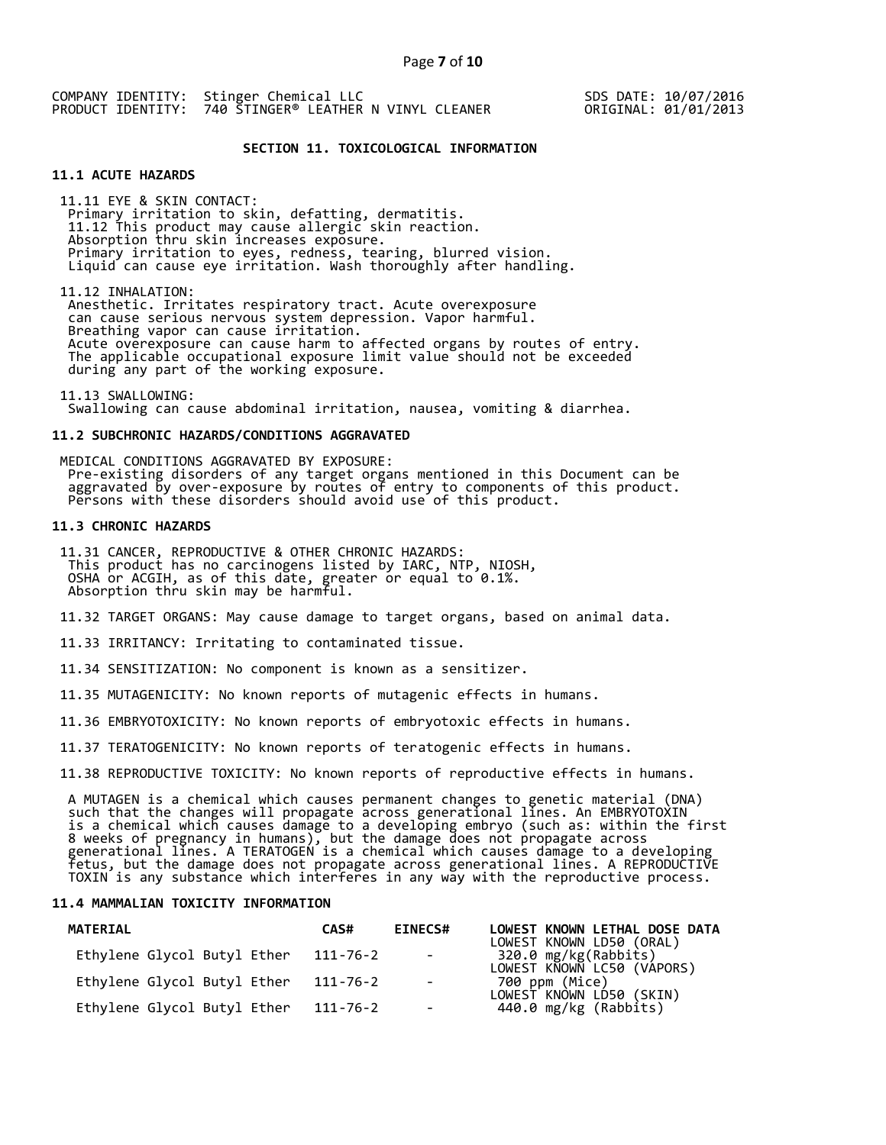SDS DATE: 10/07/2016 ORIGINAL: 01/01/2013

### **SECTION 11. TOXICOLOGICAL INFORMATION**

## **11.1 ACUTE HAZARDS**

 11.11 EYE & SKIN CONTACT: Primary irritation to skin, defatting, dermatitis. 11.12 This product may cause allergic skin reaction. Absorption thru skin increases exposure. Primary irritation to eyes, redness, tearing, blurred vision. Liquid can cause eye irritation. Wash thoroughly after handling.

 11.12 INHALATION: Anesthetic. Irritates respiratory tract. Acute overexposure can cause serious nervous system depression. Vapor harmful. Breathing vapor can cause irritation. Acute overexposure can cause harm to affected organs by routes of entry. The applicable occupational exposure limit value should not be exceeded during any part of the working exposure.

 11.13 SWALLOWING: Swallowing can cause abdominal irritation, nausea, vomiting & diarrhea.

#### **11.2 SUBCHRONIC HAZARDS/CONDITIONS AGGRAVATED**

 MEDICAL CONDITIONS AGGRAVATED BY EXPOSURE: Pre-existing disorders of any target organs mentioned in this Document can be aggravated by over-exposure by routes of entry to components of this product. Persons with these disorders should avoid use of this product.

## **11.3 CHRONIC HAZARDS**

 11.31 CANCER, REPRODUCTIVE & OTHER CHRONIC HAZARDS: This product has no carcinogens listed by IARC, NTP, NIOSH, OSHA or ACGIH, as of this date, greater or equal to 0.1%. Absorption thru skin may be harmful.

11.32 TARGET ORGANS: May cause damage to target organs, based on animal data.

11.33 IRRITANCY: Irritating to contaminated tissue.

11.34 SENSITIZATION: No component is known as a sensitizer.

11.35 MUTAGENICITY: No known reports of mutagenic effects in humans.

11.36 EMBRYOTOXICITY: No known reports of embryotoxic effects in humans.

11.37 TERATOGENICITY: No known reports of teratogenic effects in humans.

11.38 REPRODUCTIVE TOXICITY: No known reports of reproductive effects in humans.

 A MUTAGEN is a chemical which causes permanent changes to genetic material (DNA) such that the changes will propagate across generational lines. An EMBRYOTOXIN is a chemical which causes damage to a developing embryo (such as: within the first 8 weeks of pregnancy in humans), but the damage does not propagate across generational lines. A TERATOGEN is a chemical which causes damage to a developing fetus, but the damage does not propagate across generational lines. A REPRODUCTIVE TOXIN is any substance which interferes in any way with the reproductive process.

#### **11.4 MAMMALIAN TOXICITY INFORMATION**

| <b>MATERIAL</b>             | CAS#     | <b>EINECS#</b>           | LOWEST KNOWN LETHAL DOSE DATA<br>LOWEST KNOWN LD50 (ORAL) |
|-----------------------------|----------|--------------------------|-----------------------------------------------------------|
| Ethylene Glycol Butyl Ether | 111-76-2 | <b>Contract Contract</b> | 320.0 mg/kg(Rabbits)<br>LOWEST KNOWN LC50 (VÁPORS)        |
| Ethylene Glycol Butyl Ether | 111-76-2 | $\sim$                   | 700 ppm (Mice)                                            |
| Ethylene Glycol Butyl Ether | 111-76-2 | $\sim$                   | LOWEST KNÒWN LD́50 (SKIN)<br>440.0 mg/kg (Rabbits)        |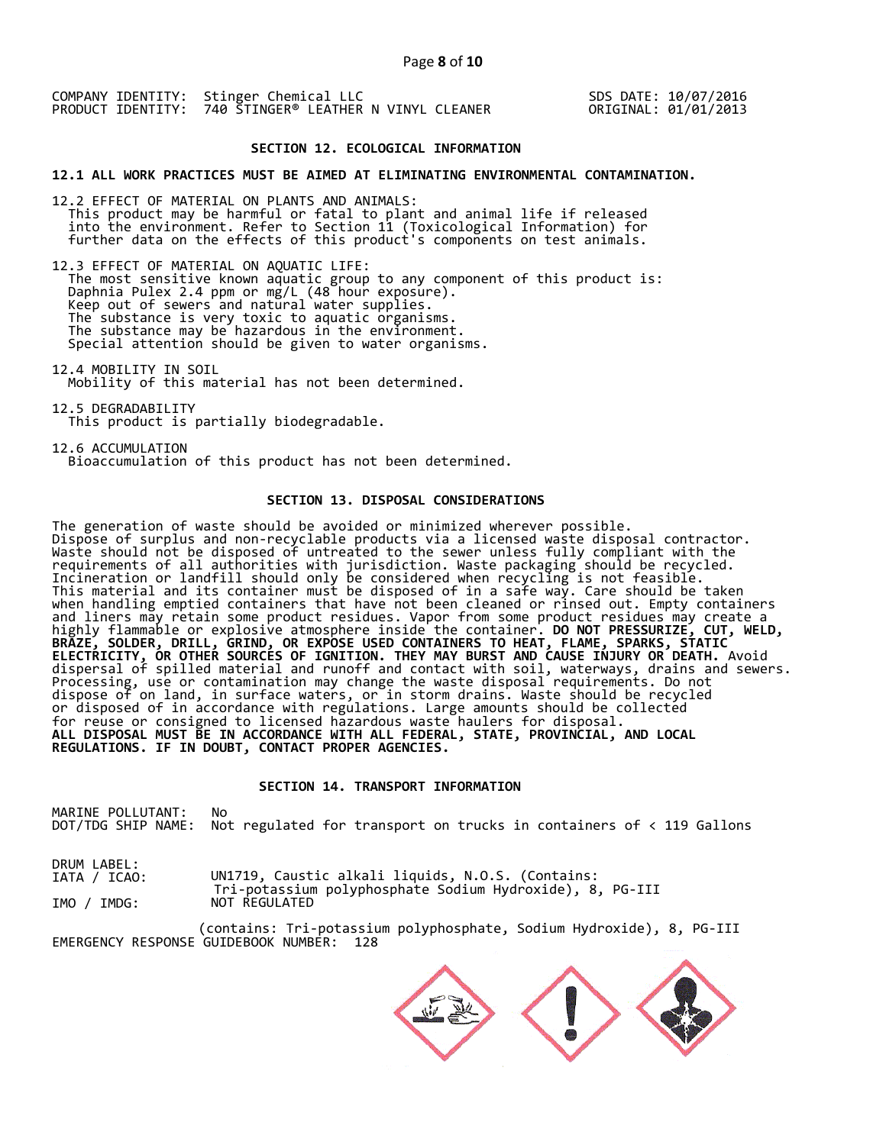SDS DATE: 10/07/2016 ORIGINAL: 01/01/2013

## **SECTION 12. ECOLOGICAL INFORMATION**

**12.1 ALL WORK PRACTICES MUST BE AIMED AT ELIMINATING ENVIRONMENTAL CONTAMINATION.** 

12.2 EFFECT OF MATERIAL ON PLANTS AND ANIMALS: This product may be harmful or fatal to plant and animal life if released into the environment. Refer to Section 11 (Toxicological Information) for further data on the effects of this product's components on test animals.

12.3 EFFECT OF MATERIAL ON AQUATIC LIFE: The most sensitive known aquatic group to any component of this product is: Daphnia Pulex 2.4 ppm or mg/L (48 hour exposure). Keep out of sewers and natural water supplies. The substance is very toxic to aquatic organisms. The substance may be hazardous in the environment. Special attention should be given to water organisms.

12.4 MOBILITY IN SOIL Mobility of this material has not been determined.

12.5 DEGRADABILITY This product is partially biodegradable.

12.6 ACCUMULATION Bioaccumulation of this product has not been determined.

## **SECTION 13. DISPOSAL CONSIDERATIONS**

The generation of waste should be avoided or minimized wherever possible. Dispose of surplus and non-recyclable products via a licensed waste disposal contractor. Waste should not be disposed of untreated to the sewer unless fully compliant with the requirements of all authorities with jurisdiction. Waste packaging should be recycled. Incineration or landfill should only be considered when recycling is not feasible. This material and its container must be disposed of in a safe way. Care should be taken when handling emptied containers that have not been cleaned or rinsed out. Empty containers and liners may retain some product residues. Vapor from some product residues may create a highly flammable or explosive atmosphere inside the container. **DO NOT PRESSURIZE, CUT, WELD, BRAZE, SOLDER, DRILL, GRIND, OR EXPOSE USED CONTAINERS TO HEAT, FLAME, SPARKS, STATIC ELECTRICITY, OR OTHER SOURCES OF IGNITION. THEY MAY BURST AND CAUSE INJURY OR DEATH.** Avoid dispersal of spilled material and runoff and contact with soil, waterways, drains and sewers. Processing, use or contamination may change the waste disposal requirements. Do not dispose of on land, in surface waters, or in storm drains. Waste should be recycled or disposed of in accordance with regulations. Large amounts should be collected for reuse or consigned to licensed hazardous waste haulers for disposal. **ALL DISPOSAL MUST BE IN ACCORDANCE WITH ALL FEDERAL, STATE, PROVINCIAL, AND LOCAL REGULATIONS. IF IN DOUBT, CONTACT PROPER AGENCIES.** 

## **SECTION 14. TRANSPORT INFORMATION**

MARINE POLLUTANT: No DOT/TDG SHIP NAME: Not regulated for transport on trucks in containers of < 119 Gallons

DRUM LABEL: IATA / ICAO: IMO / IMDG: UN1719, Caustic alkali liquids, N.O.S. (Contains: Tri-potassium polyphosphate Sodium Hydroxide), 8, PG-III NOT REGULATED

(contains: Tri-potassium polyphosphate, Sodium Hydroxide), 8, PG-III EMERGENCY RESPONSE GUIDEBOOK NUMBER: 128

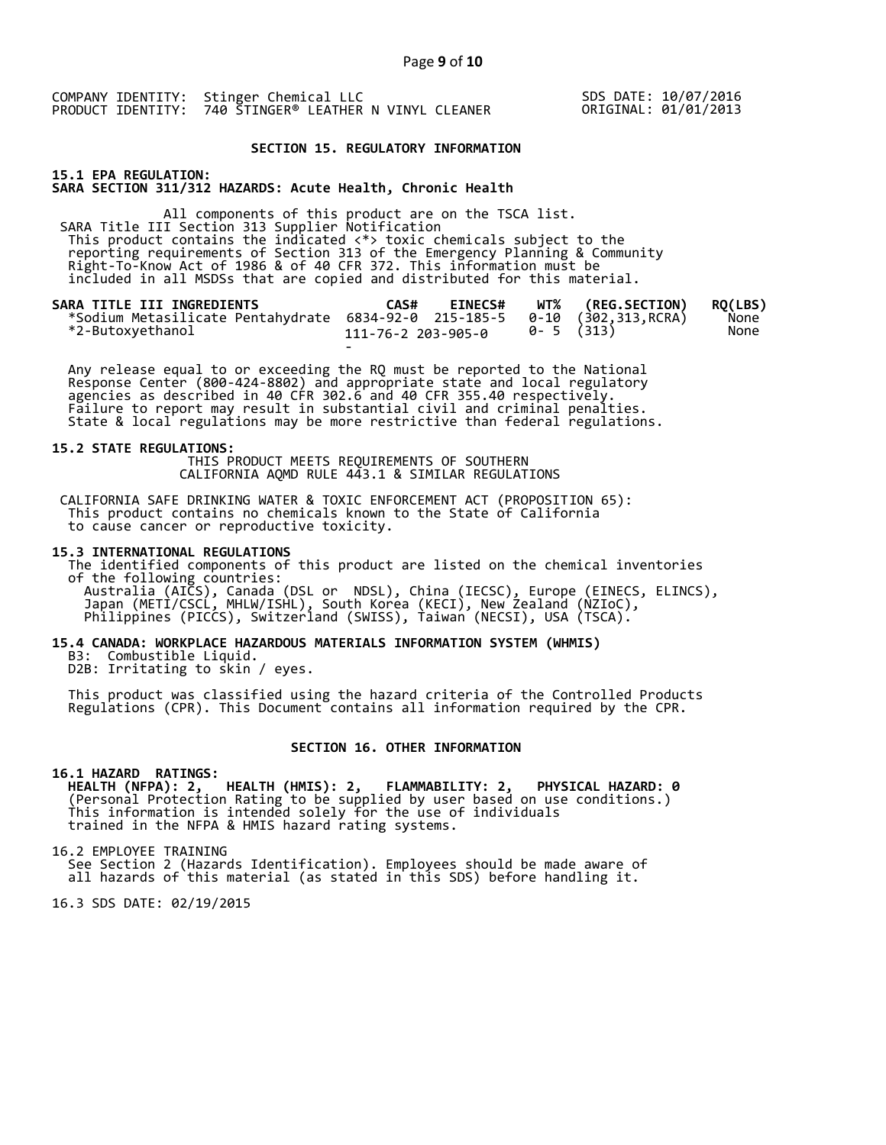SDS DATE: 10/07/2016 ORIGINAL: 01/01/2013

#### **SECTION 15. REGULATORY INFORMATION**

**15.1 EPA REGULATION: SARA SECTION 311/312 HAZARDS: Acute Health, Chronic Health** 

All components of this product are on the TSCA list. SARA Title III Section 313 Supplier Notification This product contains the indicated <\*> toxic chemicals subject to the reporting requirements of Section 313 of the Emergency Planning & Community Right-To-Know Act of 1986 & of 40 CFR 372. This information must be included in all MSDSs that are copied and distributed for this material.

| SARA TITLE III INGREDIENTS<br>*Sodium Metasilicate Pentahydrate 6834-92-0 215-185-5 0-10 (302,313, RCRA) | CAS#               | <b>EINECS#</b> |           | WT% (REG.SECTION) | RO(LBS)<br>None |
|----------------------------------------------------------------------------------------------------------|--------------------|----------------|-----------|-------------------|-----------------|
| *2-Butoxyethanol                                                                                         | 111-76-2 203-905-0 |                | 0-5 (313) |                   | None            |
|                                                                                                          | $\sim$             |                |           |                   |                 |

 Any release equal to or exceeding the RQ must be reported to the National Response Center (800-424-8802) and appropriate state and local regulatory agencies as described in 40 CFR 302.6 and 40 CFR 355.40 respectively. Failure to report may result in substantial civil and criminal penalties. State & local regulations may be more restrictive than federal regulations.

#### **15.2 STATE REGULATIONS:**

 THIS PRODUCT MEETS REQUIREMENTS OF SOUTHERN CALIFORNIA AQMD RULE 443.1 & SIMILAR REGULATIONS

 CALIFORNIA SAFE DRINKING WATER & TOXIC ENFORCEMENT ACT (PROPOSITION 65): This product contains no chemicals known to the State of California to cause cancer or reproductive toxicity.

#### **15.3 INTERNATIONAL REGULATIONS**

 The identified components of this product are listed on the chemical inventories of the following countries: Australia (AICS), Canada (DSL or NDSL), China (IECSC), Europe (EINECS, ELINCS), Japan (METI/CSCL, MHLW/ISHL), South Korea (KECI), New Zealand (NZIoC), Philippines (PICCS), Switzerland (SWISS), Taiwan (NECSI), USA (TSCA).

## **15.4 CANADA: WORKPLACE HAZARDOUS MATERIALS INFORMATION SYSTEM (WHMIS)**

 B3: Combustible Liquid. D2B: Irritating to skin / eyes.

 This product was classified using the hazard criteria of the Controlled Products Regulations (CPR). This Document contains all information required by the CPR.

#### **SECTION 16. OTHER INFORMATION**

### **16.1 HAZARD RATINGS:**

 **HEALTH (NFPA): 2, HEALTH (HMIS): 2, FLAMMABILITY: 2, PHYSICAL HAZARD: 0**  (Personal Protection Rating to be supplied by user based on use conditions.) This information is intended solely for the use of individuals trained in the NFPA & HMIS hazard rating systems.

16.2 EMPLOYEE TRAINING

 See Section 2 (Hazards Identification). Employees should be made aware of all hazards of this material (as stated in this SDS) before handling it.

16.3 SDS DATE: 02/19/2015